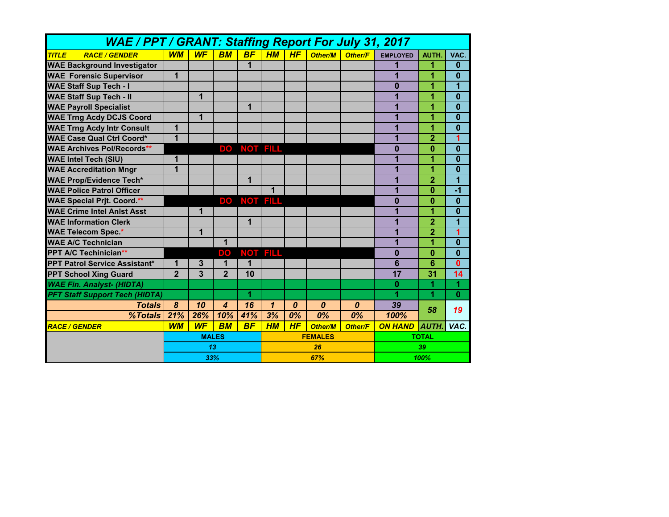| <b>WAE / PPT / GRANT: Staffing Report For July 31, 2017</b> |                |           |                  |                 |                |                  |                  |                  |                 |                 |                 |
|-------------------------------------------------------------|----------------|-----------|------------------|-----------------|----------------|------------------|------------------|------------------|-----------------|-----------------|-----------------|
| <b>TITLE</b><br><b>RACE / GENDER</b>                        | <b>WM</b>      | <b>WF</b> | <b>BM</b>        | <b>BF</b>       | H M            | <b>HF</b>        | <b>Other/M</b>   | <b>Other/F</b>   | <b>EMPLOYED</b> | AUTH.           | VAC.            |
| <b>WAE Background Investigator</b>                          |                |           |                  | 1               |                |                  |                  |                  |                 | 1               | $\bf{0}$        |
| <b>WAE Forensic Supervisor</b>                              | 1              |           |                  |                 |                |                  |                  |                  | 1               | 1               | 0               |
| <b>WAE Staff Sup Tech - I</b>                               |                |           |                  |                 |                |                  |                  |                  | 0               | 1               | 1               |
| <b>WAE Staff Sup Tech - II</b>                              |                | 1         |                  |                 |                |                  |                  |                  | 1               | 1               | $\bf{0}$        |
| <b>WAE Payroll Specialist</b>                               |                |           |                  | $\mathbf{1}$    |                |                  |                  |                  | 1               | 1               | $\bf{0}$        |
| <b>WAE Trng Acdy DCJS Coord</b>                             |                | 1         |                  |                 |                |                  |                  |                  | 1               | 1               | $\bf{0}$        |
| <b>WAE Trng Acdy Intr Consult</b>                           | 1              |           |                  |                 |                |                  |                  |                  | 1               | 1               | $\bf{0}$        |
| <b>WAE Case Qual Ctrl Coord*</b>                            | 1              |           |                  |                 |                |                  |                  |                  | 1               | $\overline{2}$  | 1               |
| <b>WAE Archives Pol/Records**</b>                           |                |           | DO <sub>.</sub>  | NOT FILL        |                |                  |                  |                  | $\bf{0}$        | $\bf{0}$        | $\bf{0}$        |
| <b>WAE Intel Tech (SIU)</b>                                 | 1              |           |                  |                 |                |                  |                  |                  | 1               | 1               | $\bf{0}$        |
| <b>WAE Accreditation Mngr</b>                               | $\overline{1}$ |           |                  |                 |                |                  |                  |                  | 1               | 1               | $\bf{0}$        |
| <b>WAE Prop/Evidence Tech*</b>                              |                |           |                  | 1               |                |                  |                  |                  | 1               | $\overline{2}$  | 1               |
| <b>WAE Police Patrol Officer</b>                            |                |           |                  |                 | 1              |                  |                  |                  | 1               | 0               | $-1$            |
| <b>WAE Special Prjt. Coord.**</b>                           |                |           | DO.              | <b>NOT FILL</b> |                |                  |                  |                  | $\bf{0}$        | $\bf{0}$        | $\bf{0}$        |
| <b>WAE Crime Intel Anist Asst</b>                           |                | 1         |                  |                 |                |                  |                  |                  | 1               | 1               | 0               |
| <b>WAE Information Clerk</b>                                |                |           |                  | $\mathbf 1$     |                |                  |                  |                  | 1               | $\overline{2}$  | 1               |
| <b>WAE Telecom Spec.*</b>                                   |                | 1         |                  |                 |                |                  |                  |                  | 1               | 2               | 1               |
| <b>WAE A/C Technician</b>                                   |                |           | 1                |                 |                |                  |                  |                  | 1               | 1               | $\bf{0}$        |
| <b>PPT A/C Techinician**</b>                                |                |           | DO <sub>1</sub>  |                 | NOT FILL       |                  |                  |                  | $\bf{0}$        | $\bf{0}$        | $\bf{0}$        |
| <b>PPT Patrol Service Assistant*</b>                        | 1              | 3         | 1                | 1               |                |                  |                  |                  | $\overline{6}$  | 6               | $\mathbf{0}$    |
| <b>PPT School Xing Guard</b>                                | $\overline{2}$ | 3         | $\overline{2}$   | 10              |                |                  |                  |                  | 17              | $\overline{31}$ | $\overline{14}$ |
| <b>WAE Fin. Analyst- (HIDTA)</b>                            |                |           |                  |                 |                |                  |                  |                  | 0               | 1               | 1               |
| <b>PFT Staff Support Tech (HIDTA)</b>                       |                |           |                  | 1               |                |                  |                  |                  | 1               | 1               | $\bf{0}$        |
| <b>Totals</b>                                               | 8              | 10        | $\boldsymbol{A}$ | $\overline{16}$ | $\mathbf{1}$   | $\boldsymbol{0}$ | $\boldsymbol{0}$ | $\boldsymbol{0}$ | 39              | 58              | 19              |
| %Totals                                                     | 21%            | 26%       | 10%              | 41%             | 3%             | 0%               | $\overline{0\%}$ | 0%               | 100%            |                 |                 |
| <b>RACE / GENDER</b>                                        | <b>WM</b>      | <b>WF</b> | <b>BM</b>        | <b>BF</b>       | H M            | HF               | <b>Other/M</b>   | <b>Other/F</b>   | <b>ON HAND</b>  | <b>AUTH.</b>    | VAC.            |
|                                                             | <b>MALES</b>   |           |                  |                 | <b>FEMALES</b> |                  |                  |                  | <b>TOTAL</b>    |                 |                 |
|                                                             | 13<br>33%      |           |                  |                 | 26             |                  |                  |                  | 39              |                 |                 |
|                                                             |                |           |                  |                 | 67%            |                  |                  |                  | 100%            |                 |                 |